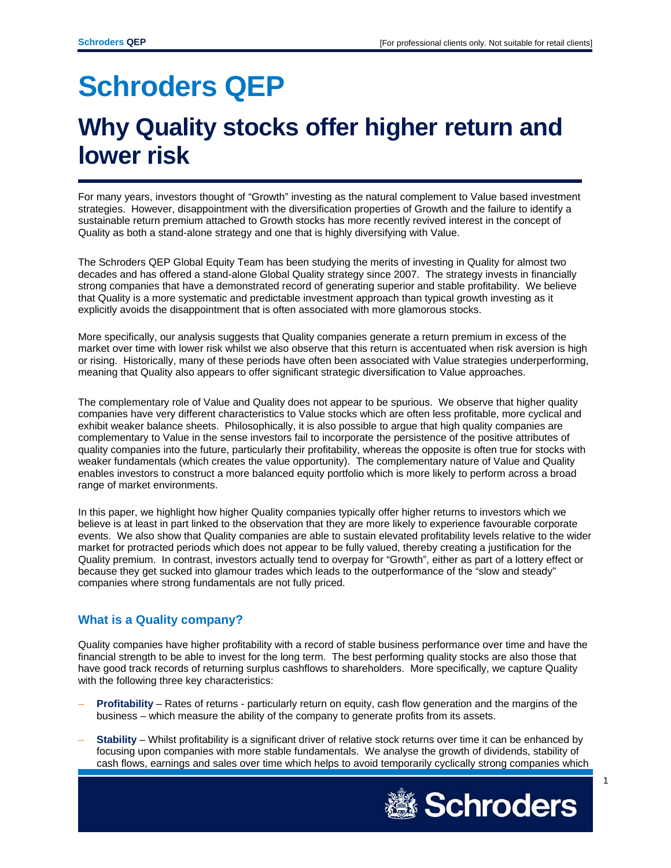# **Schroders QEP**

# **Why Quality stocks offer higher return and lower risk**

For many years, investors thought of "Growth" investing as the natural complement to Value based investment strategies. However, disappointment with the diversification properties of Growth and the failure to identify a sustainable return premium attached to Growth stocks has more recently revived interest in the concept of Quality as both a stand-alone strategy and one that is highly diversifying with Value.

The Schroders QEP Global Equity Team has been studying the merits of investing in Quality for almost two decades and has offered a stand-alone Global Quality strategy since 2007. The strategy invests in financially strong companies that have a demonstrated record of generating superior and stable profitability. We believe that Quality is a more systematic and predictable investment approach than typical growth investing as it explicitly avoids the disappointment that is often associated with more glamorous stocks.

More specifically, our analysis suggests that Quality companies generate a return premium in excess of the market over time with lower risk whilst we also observe that this return is accentuated when risk aversion is high or rising. Historically, many of these periods have often been associated with Value strategies underperforming, meaning that Quality also appears to offer significant strategic diversification to Value approaches.

The complementary role of Value and Quality does not appear to be spurious. We observe that higher quality companies have very different characteristics to Value stocks which are often less profitable, more cyclical and exhibit weaker balance sheets. Philosophically, it is also possible to argue that high quality companies are complementary to Value in the sense investors fail to incorporate the persistence of the positive attributes of quality companies into the future, particularly their profitability, whereas the opposite is often true for stocks with weaker fundamentals (which creates the value opportunity). The complementary nature of Value and Quality enables investors to construct a more balanced equity portfolio which is more likely to perform across a broad range of market environments.

In this paper, we highlight how higher Quality companies typically offer higher returns to investors which we believe is at least in part linked to the observation that they are more likely to experience favourable corporate events. We also show that Quality companies are able to sustain elevated profitability levels relative to the wider market for protracted periods which does not appear to be fully valued, thereby creating a justification for the Quality premium. In contrast, investors actually tend to overpay for "Growth", either as part of a lottery effect or because they get sucked into glamour trades which leads to the outperformance of the "slow and steady" companies where strong fundamentals are not fully priced.

## **What is a Quality company?**

Quality companies have higher profitability with a record of stable business performance over time and have the financial strength to be able to invest for the long term. The best performing quality stocks are also those that have good track records of returning surplus cashflows to shareholders. More specifically, we capture Quality with the following three key characteristics:

- **Profitability** Rates of returns particularly return on equity, cash flow generation and the margins of the business – which measure the ability of the company to generate profits from its assets.
- **Stability**  Whilst profitability is a significant driver of relative stock returns over time it can be enhanced by focusing upon companies with more stable fundamentals. We analyse the growth of dividends, stability of cash flows, earnings and sales over time which helps to avoid temporarily cyclically strong companies which

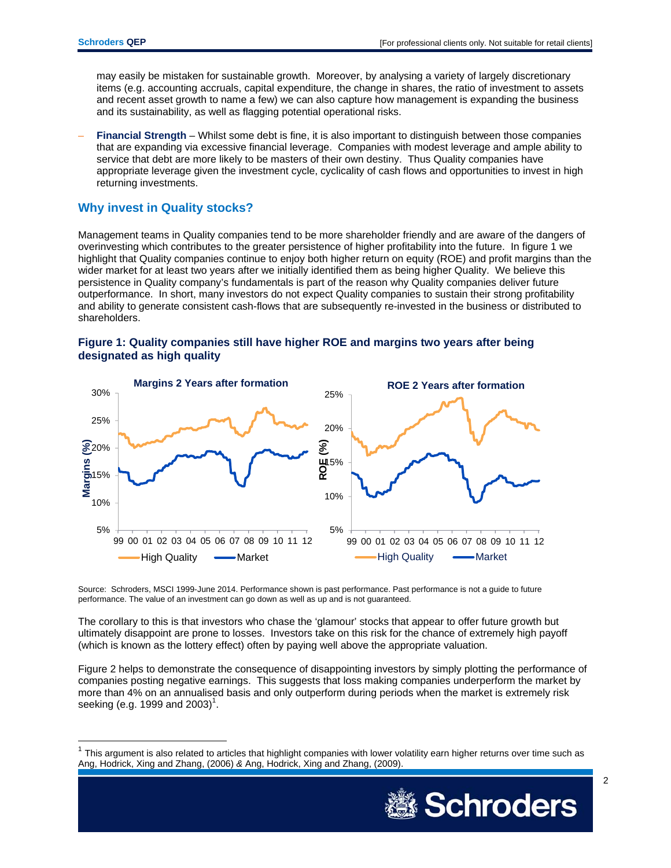may easily be mistaken for sustainable growth. Moreover, by analysing a variety of largely discretionary items (e.g. accounting accruals, capital expenditure, the change in shares, the ratio of investment to assets and recent asset growth to name a few) we can also capture how management is expanding the business and its sustainability, as well as flagging potential operational risks.

– **Financial Strength** – Whilst some debt is fine, it is also important to distinguish between those companies that are expanding via excessive financial leverage. Companies with modest leverage and ample ability to service that debt are more likely to be masters of their own destiny. Thus Quality companies have appropriate leverage given the investment cycle, cyclicality of cash flows and opportunities to invest in high returning investments.

### **Why invest in Quality stocks?**

Management teams in Quality companies tend to be more shareholder friendly and are aware of the dangers of overinvesting which contributes to the greater persistence of higher profitability into the future. In figure 1 we highlight that Quality companies continue to enjoy both higher return on equity (ROE) and profit margins than the wider market for at least two years after we initially identified them as being higher Quality. We believe this persistence in Quality company's fundamentals is part of the reason why Quality companies deliver future outperformance. In short, many investors do not expect Quality companies to sustain their strong profitability and ability to generate consistent cash-flows that are subsequently re-invested in the business or distributed to shareholders.





Source: Schroders, MSCI 1999-June 2014. Performance shown is past performance. Past performance is not a guide to future performance. The value of an investment can go down as well as up and is not guaranteed.

The corollary to this is that investors who chase the 'glamour' stocks that appear to offer future growth but ultimately disappoint are prone to losses. Investors take on this risk for the chance of extremely high payoff (which is known as the lottery effect) often by paying well above the appropriate valuation.

Figure 2 helps to demonstrate the consequence of disappointing investors by simply plotting the performance of companies posting negative earnings. This suggests that loss making companies underperform the market by more than 4% on an annualised basis and only outperform during periods when the market is extremely risk seeking (e.g. 1999 and 2003)<sup>1</sup>.

 $1$  This argument is also related to articles that highlight companies with lower volatility earn higher returns over time such as Ang, Hodrick, Xing and Zhang, (2006) *&* Ang, Hodrick, Xing and Zhang, (2009).

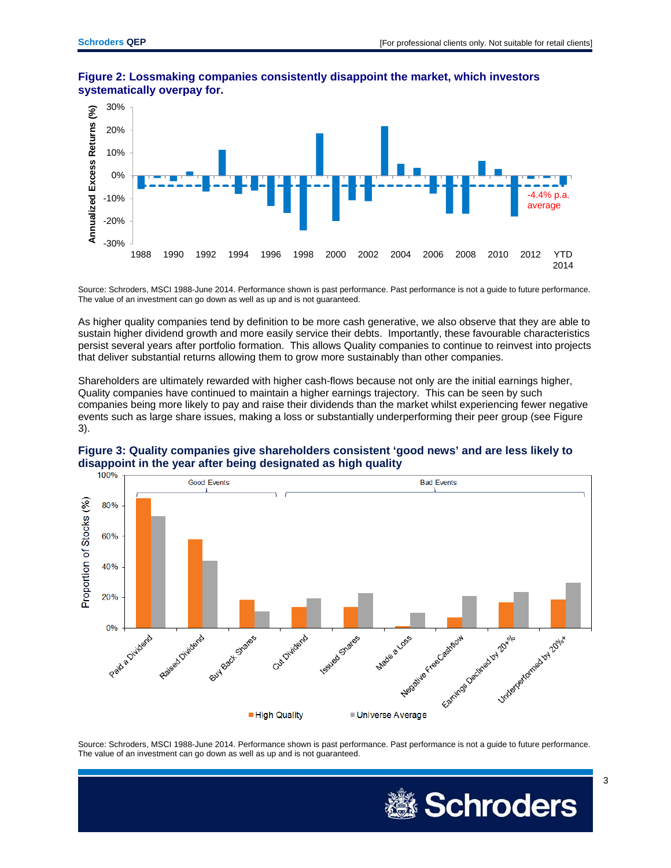

#### **Figure 2: Lossmaking companies consistently disappoint the market, which investors systematically overpay for.**

Source: Schroders, MSCI 1988-June 2014. Performance shown is past performance. Past performance is not a guide to future performance. The value of an investment can go down as well as up and is not guaranteed.

As higher quality companies tend by definition to be more cash generative, we also observe that they are able to sustain higher dividend growth and more easily service their debts. Importantly, these favourable characteristics persist several years after portfolio formation. This allows Quality companies to continue to reinvest into projects that deliver substantial returns allowing them to grow more sustainably than other companies.

Shareholders are ultimately rewarded with higher cash-flows because not only are the initial earnings higher, Quality companies have continued to maintain a higher earnings trajectory. This can be seen by such companies being more likely to pay and raise their dividends than the market whilst experiencing fewer negative events such as large share issues, making a loss or substantially underperforming their peer group (see Figure 3).



## **Figure 3: Quality companies give shareholders consistent 'good news' and are less likely to**  disappoint in the year after being designated as high quality<br>  $100\%$

Source: Schroders, MSCI 1988-June 2014. Performance shown is past performance. Past performance is not a guide to future performance. The value of an investment can go down as well as up and is not guaranteed.

Universe Average

■ High Quality

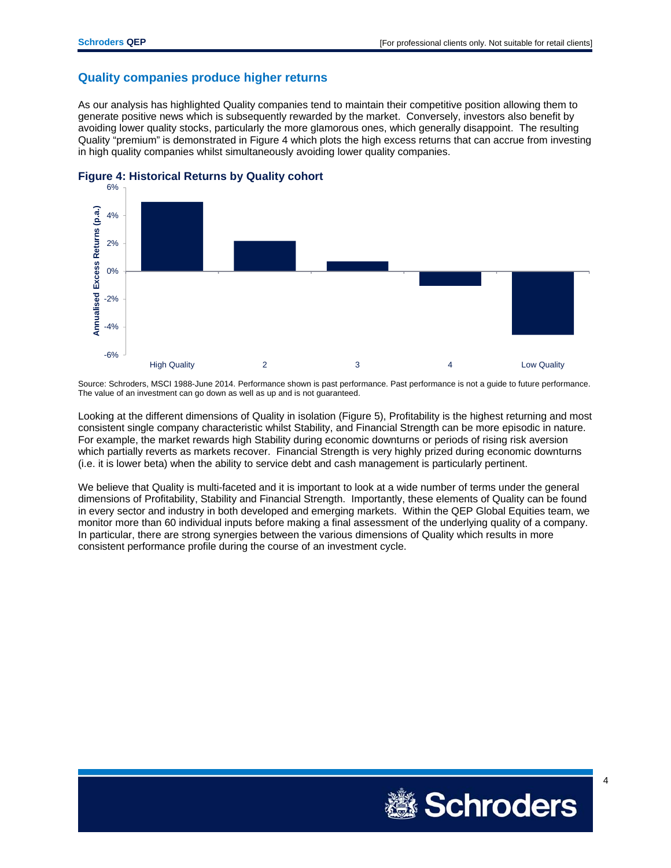#### **Quality companies produce higher returns**

As our analysis has highlighted Quality companies tend to maintain their competitive position allowing them to generate positive news which is subsequently rewarded by the market. Conversely, investors also benefit by avoiding lower quality stocks, particularly the more glamorous ones, which generally disappoint. The resulting Quality "premium" is demonstrated in Figure 4 which plots the high excess returns that can accrue from investing in high quality companies whilst simultaneously avoiding lower quality companies.



#### **Figure 4: Historical Returns by Quality cohort**

Source: Schroders, MSCI 1988-June 2014. Performance shown is past performance. Past performance is not a guide to future performance. The value of an investment can go down as well as up and is not guaranteed.

Looking at the different dimensions of Quality in isolation (Figure 5), Profitability is the highest returning and most consistent single company characteristic whilst Stability, and Financial Strength can be more episodic in nature. For example, the market rewards high Stability during economic downturns or periods of rising risk aversion which partially reverts as markets recover. Financial Strength is very highly prized during economic downturns (i.e. it is lower beta) when the ability to service debt and cash management is particularly pertinent.

We believe that Quality is multi-faceted and it is important to look at a wide number of terms under the general dimensions of Profitability, Stability and Financial Strength. Importantly, these elements of Quality can be found in every sector and industry in both developed and emerging markets. Within the QEP Global Equities team, we monitor more than 60 individual inputs before making a final assessment of the underlying quality of a company. In particular, there are strong synergies between the various dimensions of Quality which results in more consistent performance profile during the course of an investment cycle.

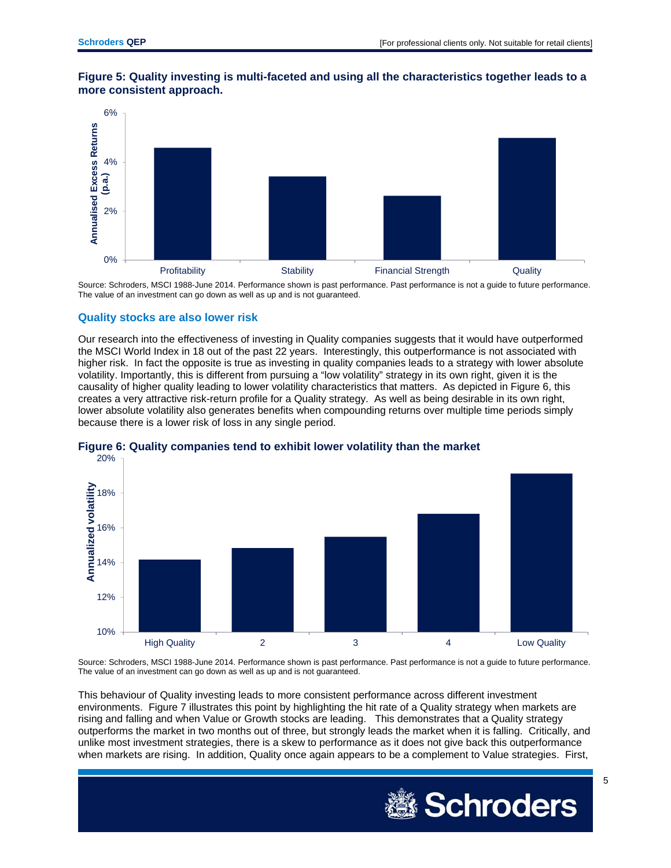



Source: Schroders, MSCI 1988-June 2014. Performance shown is past performance. Past performance is not a guide to future performance. The value of an investment can go down as well as up and is not guaranteed.

#### **Quality stocks are also lower risk**

Our research into the effectiveness of investing in Quality companies suggests that it would have outperformed the MSCI World Index in 18 out of the past 22 years. Interestingly, this outperformance is not associated with higher risk. In fact the opposite is true as investing in quality companies leads to a strategy with lower absolute volatility. Importantly, this is different from pursuing a "low volatility" strategy in its own right, given it is the causality of higher quality leading to lower volatility characteristics that matters. As depicted in Figure 6, this creates a very attractive risk-return profile for a Quality strategy. As well as being desirable in its own right, lower absolute volatility also generates benefits when compounding returns over multiple time periods simply because there is a lower risk of loss in any single period.



### **Figure 6: Quality companies tend to exhibit lower volatility than the market**

Source: Schroders, MSCI 1988-June 2014. Performance shown is past performance. Past performance is not a guide to future performance. The value of an investment can go down as well as up and is not guaranteed.

This behaviour of Quality investing leads to more consistent performance across different investment environments. Figure 7 illustrates this point by highlighting the hit rate of a Quality strategy when markets are rising and falling and when Value or Growth stocks are leading. This demonstrates that a Quality strategy outperforms the market in two months out of three, but strongly leads the market when it is falling. Critically, and unlike most investment strategies, there is a skew to performance as it does not give back this outperformance when markets are rising. In addition, Quality once again appears to be a complement to Value strategies. First,

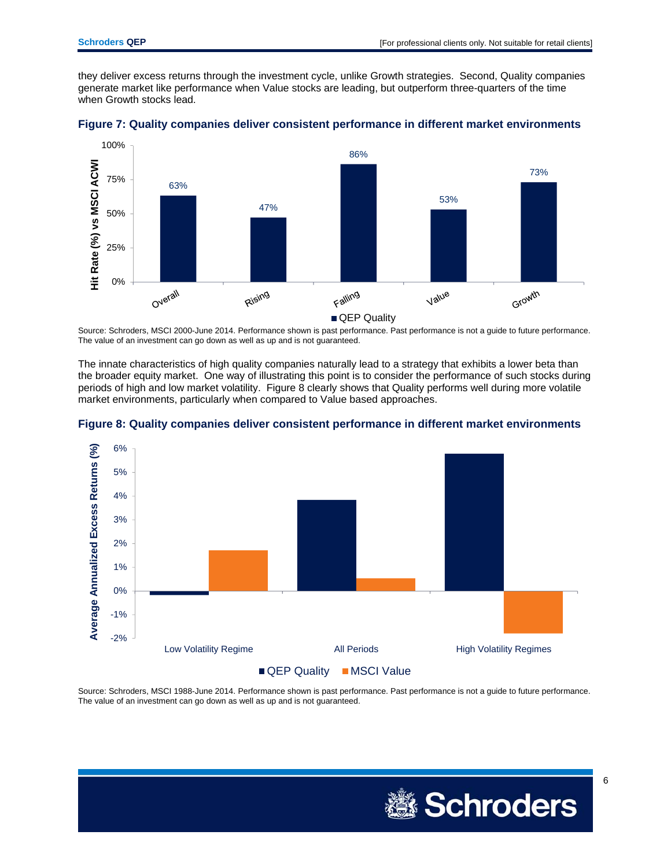they deliver excess returns through the investment cycle, unlike Growth strategies. Second, Quality companies generate market like performance when Value stocks are leading, but outperform three-quarters of the time when Growth stocks lead.





Source: Schroders, MSCI 2000-June 2014. Performance shown is past performance. Past performance is not a guide to future performance. The value of an investment can go down as well as up and is not guaranteed.

The innate characteristics of high quality companies naturally lead to a strategy that exhibits a lower beta than the broader equity market. One way of illustrating this point is to consider the performance of such stocks during periods of high and low market volatility. Figure 8 clearly shows that Quality performs well during more volatile market environments, particularly when compared to Value based approaches.





Source: Schroders, MSCI 1988-June 2014. Performance shown is past performance. Past performance is not a guide to future performance. The value of an investment can go down as well as up and is not guaranteed.

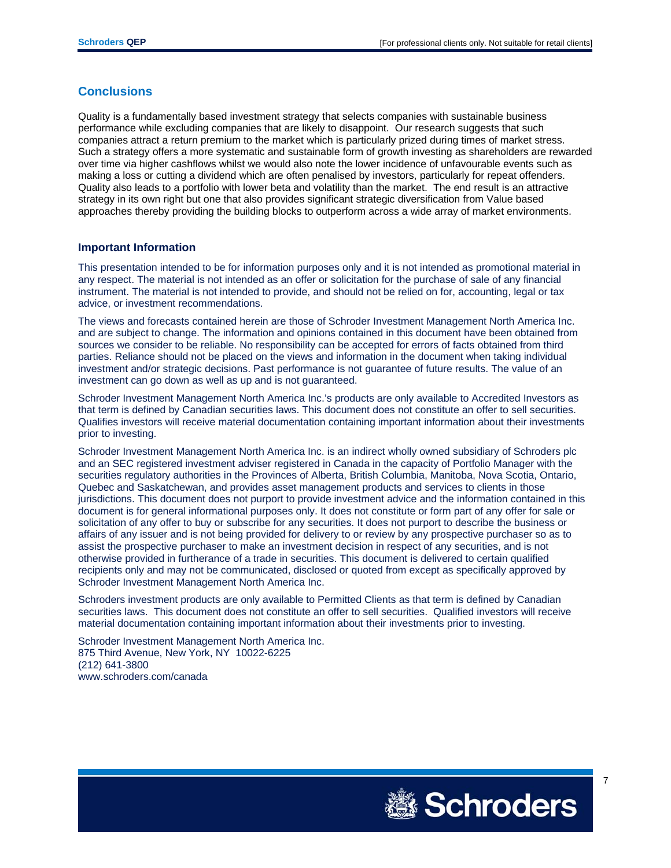#### **Conclusions**

Quality is a fundamentally based investment strategy that selects companies with sustainable business performance while excluding companies that are likely to disappoint. Our research suggests that such companies attract a return premium to the market which is particularly prized during times of market stress. Such a strategy offers a more systematic and sustainable form of growth investing as shareholders are rewarded over time via higher cashflows whilst we would also note the lower incidence of unfavourable events such as making a loss or cutting a dividend which are often penalised by investors, particularly for repeat offenders. Quality also leads to a portfolio with lower beta and volatility than the market. The end result is an attractive strategy in its own right but one that also provides significant strategic diversification from Value based approaches thereby providing the building blocks to outperform across a wide array of market environments.

#### **Important Information**

This presentation intended to be for information purposes only and it is not intended as promotional material in any respect. The material is not intended as an offer or solicitation for the purchase of sale of any financial instrument. The material is not intended to provide, and should not be relied on for, accounting, legal or tax advice, or investment recommendations.

The views and forecasts contained herein are those of Schroder Investment Management North America Inc. and are subject to change. The information and opinions contained in this document have been obtained from sources we consider to be reliable. No responsibility can be accepted for errors of facts obtained from third parties. Reliance should not be placed on the views and information in the document when taking individual investment and/or strategic decisions. Past performance is not guarantee of future results. The value of an investment can go down as well as up and is not guaranteed.

Schroder Investment Management North America Inc.'s products are only available to Accredited Investors as that term is defined by Canadian securities laws. This document does not constitute an offer to sell securities. Qualifies investors will receive material documentation containing important information about their investments prior to investing.

Schroder Investment Management North America Inc. is an indirect wholly owned subsidiary of Schroders plc and an SEC registered investment adviser registered in Canada in the capacity of Portfolio Manager with the securities regulatory authorities in the Provinces of Alberta, British Columbia, Manitoba, Nova Scotia, Ontario, Quebec and Saskatchewan, and provides asset management products and services to clients in those jurisdictions. This document does not purport to provide investment advice and the information contained in this document is for general informational purposes only. It does not constitute or form part of any offer for sale or solicitation of any offer to buy or subscribe for any securities. It does not purport to describe the business or affairs of any issuer and is not being provided for delivery to or review by any prospective purchaser so as to assist the prospective purchaser to make an investment decision in respect of any securities, and is not otherwise provided in furtherance of a trade in securities. This document is delivered to certain qualified recipients only and may not be communicated, disclosed or quoted from except as specifically approved by Schroder Investment Management North America Inc.

Schroders investment products are only available to Permitted Clients as that term is defined by Canadian securities laws. This document does not constitute an offer to sell securities. Qualified investors will receive material documentation containing important information about their investments prior to investing.

Schroder Investment Management North America Inc. 875 Third Avenue, New York, NY 10022-6225 (212) 641-3800 www.schroders.com/canada

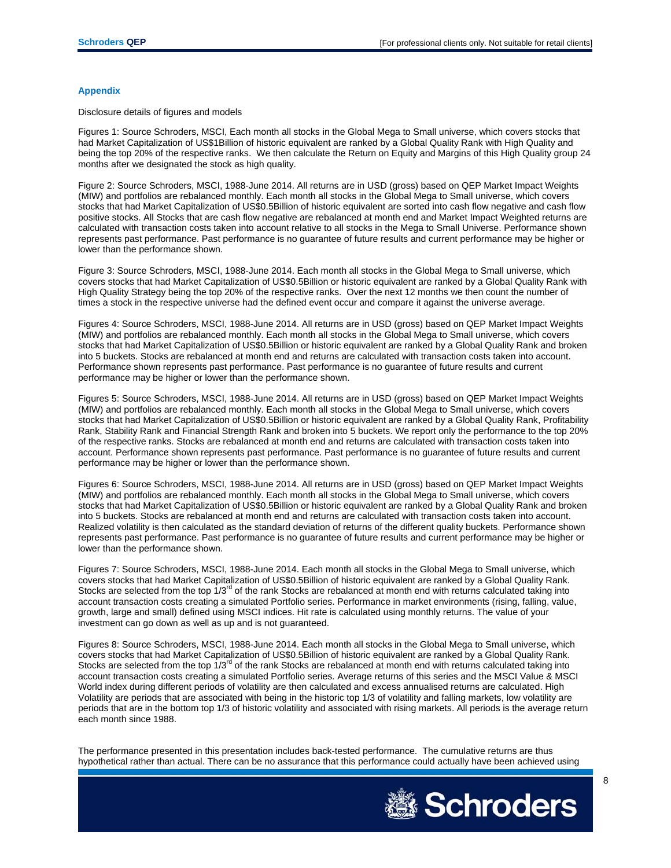#### **Appendix**

Disclosure details of figures and models

Figures 1: Source Schroders, MSCI, Each month all stocks in the Global Mega to Small universe, which covers stocks that had Market Capitalization of US\$1Billion of historic equivalent are ranked by a Global Quality Rank with High Quality and being the top 20% of the respective ranks. We then calculate the Return on Equity and Margins of this High Quality group 24 months after we designated the stock as high quality.

Figure 2: Source Schroders, MSCI, 1988-June 2014. All returns are in USD (gross) based on QEP Market Impact Weights (MIW) and portfolios are rebalanced monthly. Each month all stocks in the Global Mega to Small universe, which covers stocks that had Market Capitalization of US\$0.5Billion of historic equivalent are sorted into cash flow negative and cash flow positive stocks. All Stocks that are cash flow negative are rebalanced at month end and Market Impact Weighted returns are calculated with transaction costs taken into account relative to all stocks in the Mega to Small Universe. Performance shown represents past performance. Past performance is no guarantee of future results and current performance may be higher or lower than the performance shown.

Figure 3: Source Schroders, MSCI, 1988-June 2014. Each month all stocks in the Global Mega to Small universe, which covers stocks that had Market Capitalization of US\$0.5Billion or historic equivalent are ranked by a Global Quality Rank with High Quality Strategy being the top 20% of the respective ranks. Over the next 12 months we then count the number of times a stock in the respective universe had the defined event occur and compare it against the universe average.

Figures 4: Source Schroders, MSCI, 1988-June 2014. All returns are in USD (gross) based on QEP Market Impact Weights (MIW) and portfolios are rebalanced monthly. Each month all stocks in the Global Mega to Small universe, which covers stocks that had Market Capitalization of US\$0.5Billion or historic equivalent are ranked by a Global Quality Rank and broken into 5 buckets. Stocks are rebalanced at month end and returns are calculated with transaction costs taken into account. Performance shown represents past performance. Past performance is no guarantee of future results and current performance may be higher or lower than the performance shown.

Figures 5: Source Schroders, MSCI, 1988-June 2014. All returns are in USD (gross) based on QEP Market Impact Weights (MIW) and portfolios are rebalanced monthly. Each month all stocks in the Global Mega to Small universe, which covers stocks that had Market Capitalization of US\$0.5Billion or historic equivalent are ranked by a Global Quality Rank, Profitability Rank, Stability Rank and Financial Strength Rank and broken into 5 buckets. We report only the performance to the top 20% of the respective ranks. Stocks are rebalanced at month end and returns are calculated with transaction costs taken into account. Performance shown represents past performance. Past performance is no guarantee of future results and current performance may be higher or lower than the performance shown.

Figures 6: Source Schroders, MSCI, 1988-June 2014. All returns are in USD (gross) based on QEP Market Impact Weights (MIW) and portfolios are rebalanced monthly. Each month all stocks in the Global Mega to Small universe, which covers stocks that had Market Capitalization of US\$0.5Billion or historic equivalent are ranked by a Global Quality Rank and broken into 5 buckets. Stocks are rebalanced at month end and returns are calculated with transaction costs taken into account. Realized volatility is then calculated as the standard deviation of returns of the different quality buckets. Performance shown represents past performance. Past performance is no guarantee of future results and current performance may be higher or lower than the performance shown.

Figures 7: Source Schroders, MSCI, 1988-June 2014. Each month all stocks in the Global Mega to Small universe, which covers stocks that had Market Capitalization of US\$0.5Billion of historic equivalent are ranked by a Global Quality Rank. Stocks are selected from the top 1/3<sup>rd</sup> of the rank Stocks are rebalanced at month end with returns calculated taking into account transaction costs creating a simulated Portfolio series. Performance in market environments (rising, falling, value, growth, large and small) defined using MSCI indices. Hit rate is calculated using monthly returns. The value of your investment can go down as well as up and is not guaranteed.

Figures 8: Source Schroders, MSCI, 1988-June 2014. Each month all stocks in the Global Mega to Small universe, which covers stocks that had Market Capitalization of US\$0.5Billion of historic equivalent are ranked by a Global Quality Rank. Stocks are selected from the top  $1/3^{rd}$  of the rank Stocks are rebalanced at month end with returns calculated taking into account transaction costs creating a simulated Portfolio series. Average returns of this series and the MSCI Value & MSCI World index during different periods of volatility are then calculated and excess annualised returns are calculated. High Volatility are periods that are associated with being in the historic top 1/3 of volatility and falling markets, low volatility are periods that are in the bottom top 1/3 of historic volatility and associated with rising markets. All periods is the average return each month since 1988.

The performance presented in this presentation includes back-tested performance. The cumulative returns are thus hypothetical rather than actual. There can be no assurance that this performance could actually have been achieved using

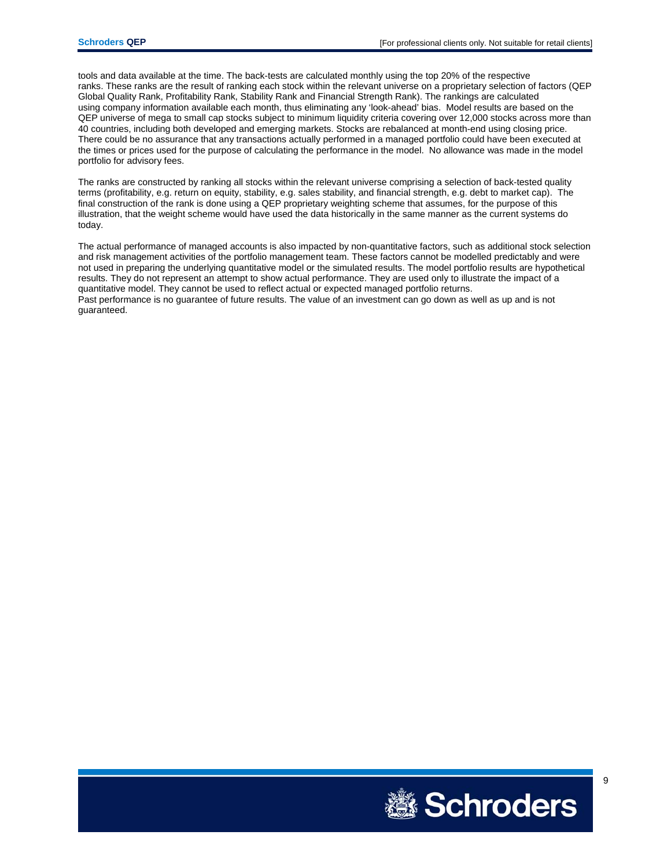tools and data available at the time. The back-tests are calculated monthly using the top 20% of the respective ranks. These ranks are the result of ranking each stock within the relevant universe on a proprietary selection of factors (QEP Global Quality Rank, Profitability Rank, Stability Rank and Financial Strength Rank). The rankings are calculated using company information available each month, thus eliminating any 'look-ahead' bias. Model results are based on the QEP universe of mega to small cap stocks subject to minimum liquidity criteria covering over 12,000 stocks across more than 40 countries, including both developed and emerging markets. Stocks are rebalanced at month-end using closing price. There could be no assurance that any transactions actually performed in a managed portfolio could have been executed at the times or prices used for the purpose of calculating the performance in the model. No allowance was made in the model portfolio for advisory fees.

The ranks are constructed by ranking all stocks within the relevant universe comprising a selection of back-tested quality terms (profitability, e.g. return on equity, stability, e.g. sales stability, and financial strength, e.g. debt to market cap). The final construction of the rank is done using a QEP proprietary weighting scheme that assumes, for the purpose of this illustration, that the weight scheme would have used the data historically in the same manner as the current systems do today.

The actual performance of managed accounts is also impacted by non-quantitative factors, such as additional stock selection and risk management activities of the portfolio management team. These factors cannot be modelled predictably and were not used in preparing the underlying quantitative model or the simulated results. The model portfolio results are hypothetical results. They do not represent an attempt to show actual performance. They are used only to illustrate the impact of a quantitative model. They cannot be used to reflect actual or expected managed portfolio returns. Past performance is no guarantee of future results. The value of an investment can go down as well as up and is not guaranteed.

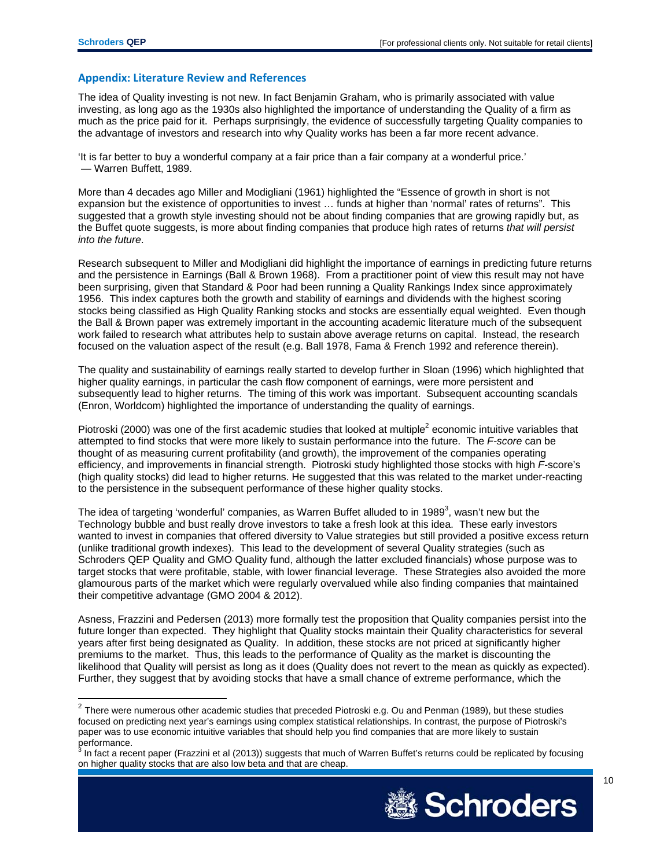$\overline{a}$ 

#### **Appendix: Literature Review and References**

The idea of Quality investing is not new. In fact Benjamin Graham, who is primarily associated with value investing, as long ago as the 1930s also highlighted the importance of understanding the Quality of a firm as much as the price paid for it. Perhaps surprisingly, the evidence of successfully targeting Quality companies to the advantage of investors and research into why Quality works has been a far more recent advance.

'It is far better to buy a wonderful company at a fair price than a fair company at a wonderful price.' — Warren Buffett, 1989.

More than 4 decades ago Miller and Modigliani (1961) highlighted the "Essence of growth in short is not expansion but the existence of opportunities to invest … funds at higher than 'normal' rates of returns". This suggested that a growth style investing should not be about finding companies that are growing rapidly but, as the Buffet quote suggests, is more about finding companies that produce high rates of returns *that will persist into the future*.

Research subsequent to Miller and Modigliani did highlight the importance of earnings in predicting future returns and the persistence in Earnings (Ball & Brown 1968). From a practitioner point of view this result may not have been surprising, given that Standard & Poor had been running a Quality Rankings Index since approximately 1956. This index captures both the growth and stability of earnings and dividends with the highest scoring stocks being classified as High Quality Ranking stocks and stocks are essentially equal weighted. Even though the Ball & Brown paper was extremely important in the accounting academic literature much of the subsequent work failed to research what attributes help to sustain above average returns on capital. Instead, the research focused on the valuation aspect of the result (e.g. Ball 1978, Fama & French 1992 and reference therein).

The quality and sustainability of earnings really started to develop further in Sloan (1996) which highlighted that higher quality earnings, in particular the cash flow component of earnings, were more persistent and subsequently lead to higher returns. The timing of this work was important. Subsequent accounting scandals (Enron, Worldcom) highlighted the importance of understanding the quality of earnings.

Piotroski (2000) was one of the first academic studies that looked at multiple<sup>2</sup> economic intuitive variables that attempted to find stocks that were more likely to sustain performance into the future. The *F-score* can be thought of as measuring current profitability (and growth), the improvement of the companies operating efficiency, and improvements in financial strength. Piotroski study highlighted those stocks with high *F-*score's (high quality stocks) did lead to higher returns. He suggested that this was related to the market under-reacting to the persistence in the subsequent performance of these higher quality stocks.

The idea of targeting 'wonderful' companies, as Warren Buffet alluded to in 1989<sup>3</sup>, wasn't new but the Technology bubble and bust really drove investors to take a fresh look at this idea. These early investors wanted to invest in companies that offered diversity to Value strategies but still provided a positive excess return (unlike traditional growth indexes). This lead to the development of several Quality strategies (such as Schroders QEP Quality and GMO Quality fund, although the latter excluded financials) whose purpose was to target stocks that were profitable, stable, with lower financial leverage. These Strategies also avoided the more glamourous parts of the market which were regularly overvalued while also finding companies that maintained their competitive advantage (GMO 2004 & 2012).

Asness, Frazzini and Pedersen (2013) more formally test the proposition that Quality companies persist into the future longer than expected. They highlight that Quality stocks maintain their Quality characteristics for several years after first being designated as Quality. In addition, these stocks are not priced at significantly higher premiums to the market. Thus, this leads to the performance of Quality as the market is discounting the likelihood that Quality will persist as long as it does (Quality does not revert to the mean as quickly as expected). Further, they suggest that by avoiding stocks that have a small chance of extreme performance, which the

In fact a recent paper (Frazzini et al (2013)) suggests that much of Warren Buffet's returns could be replicated by focusing on higher quality stocks that are also low beta and that are cheap.



<sup>&</sup>lt;sup>2</sup> There were numerous other academic studies that preceded Piotroski e.g. Ou and Penman (1989), but these studies focused on predicting next year's earnings using complex statistical relationships. In contrast, the purpose of Piotroski's paper was to use economic intuitive variables that should help you find companies that are more likely to sustain performance.<br><sup>3</sup> In fact a rece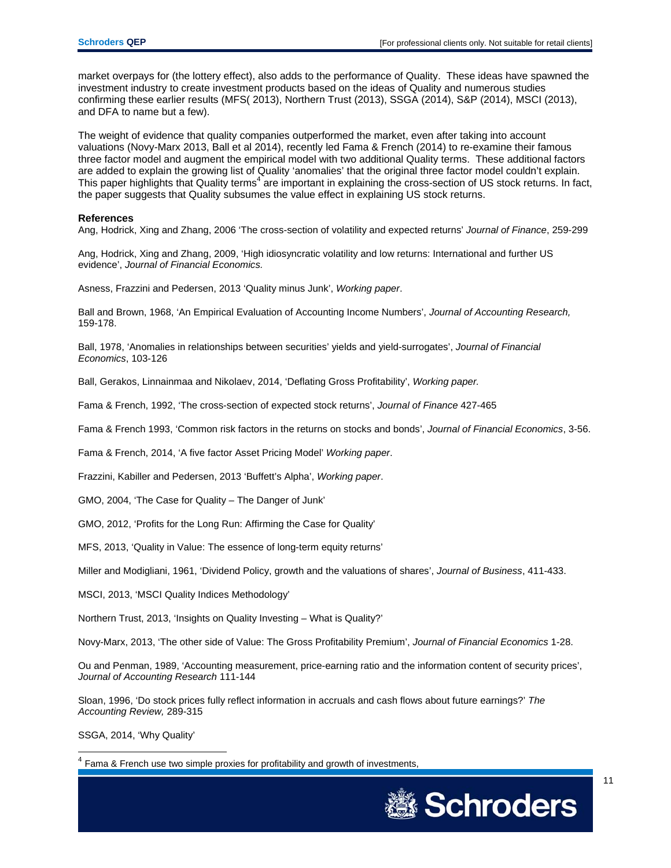market overpays for (the lottery effect), also adds to the performance of Quality. These ideas have spawned the investment industry to create investment products based on the ideas of Quality and numerous studies confirming these earlier results (MFS( 2013), Northern Trust (2013), SSGA (2014), S&P (2014), MSCI (2013), and DFA to name but a few).

The weight of evidence that quality companies outperformed the market, even after taking into account valuations (Novy-Marx 2013, Ball et al 2014), recently led Fama & French (2014) to re-examine their famous three factor model and augment the empirical model with two additional Quality terms. These additional factors are added to explain the growing list of Quality 'anomalies' that the original three factor model couldn't explain. This paper highlights that Quality terms<sup>4</sup> are important in explaining the cross-section of US stock returns. In fact, the paper suggests that Quality subsumes the value effect in explaining US stock returns.

#### **References**

Ang, Hodrick, Xing and Zhang, 2006 'The cross-section of volatility and expected returns' *Journal of Finance*, 259-299

Ang, Hodrick, Xing and Zhang, 2009, 'High idiosyncratic volatility and low returns: International and further US evidence', *Journal of Financial Economics.* 

Asness, Frazzini and Pedersen, 2013 'Quality minus Junk', *Working paper*.

Ball and Brown, 1968, 'An Empirical Evaluation of Accounting Income Numbers', *Journal of Accounting Research,* 159-178.

Ball, 1978, 'Anomalies in relationships between securities' yields and yield-surrogates', *Journal of Financial Economics*, 103-126

Ball, Gerakos, Linnainmaa and Nikolaev, 2014, 'Deflating Gross Profitability', *Working paper.*

Fama & French, 1992, 'The cross-section of expected stock returns', *Journal of Finance* 427-465

Fama & French 1993, 'Common risk factors in the returns on stocks and bonds', *Journal of Financial Economics*, 3-56.

Fama & French, 2014, 'A five factor Asset Pricing Model' *Working paper*.

Frazzini, Kabiller and Pedersen, 2013 'Buffett's Alpha', *Working paper*.

GMO, 2004, 'The Case for Quality – The Danger of Junk'

GMO, 2012, 'Profits for the Long Run: Affirming the Case for Quality'

MFS, 2013, 'Quality in Value: The essence of long-term equity returns'

Miller and Modigliani, 1961, 'Dividend Policy, growth and the valuations of shares', *Journal of Business*, 411-433.

MSCI, 2013, 'MSCI Quality Indices Methodology'

Northern Trust, 2013, 'Insights on Quality Investing – What is Quality?'

Novy-Marx, 2013, 'The other side of Value: The Gross Profitability Premium', *Journal of Financial Economics* 1-28.

Ou and Penman, 1989, 'Accounting measurement, price-earning ratio and the information content of security prices', *Journal of Accounting Research* 111-144

Sloan, 1996, 'Do stock prices fully reflect information in accruals and cash flows about future earnings?' *The Accounting Review,* 289-315

SSGA, 2014, 'Why Quality'

Fama & French use two simple proxies for profitability and growth of investments,